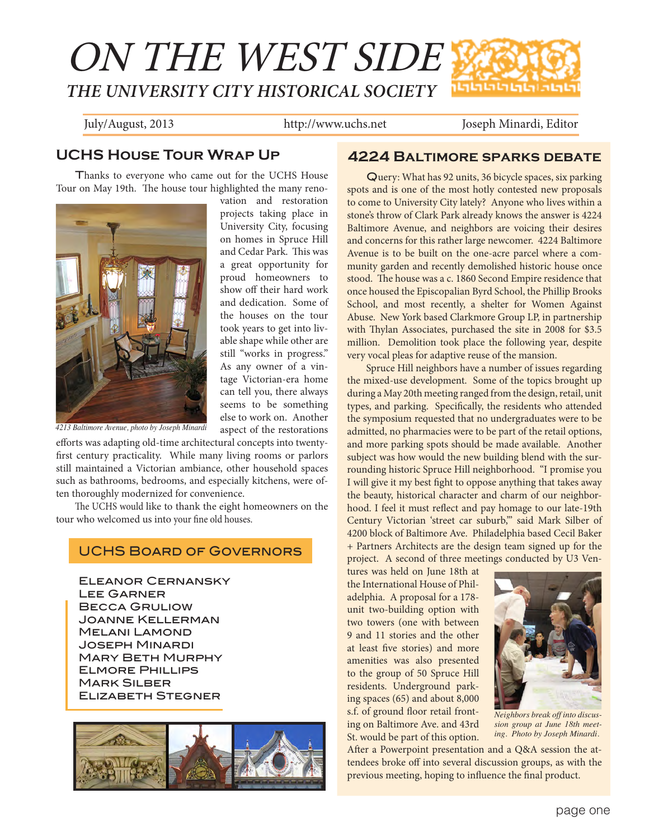# ON THE WEST SIDE *THE UNIVERSITY CITY HISTORICAL SOCIETY* הוהותותות

July/August, 2013 http://www.uchs.net Joseph Minardi, Editor

# **UCHS House Tour Wrap Up**

Thanks to everyone who came out for the UCHS House Tour on May 19th. The house tour highlighted the many reno-



vation and restoration projects taking place in University City, focusing on homes in Spruce Hill and Cedar Park. This was a great opportunity for proud homeowners to show off their hard work and dedication. Some of the houses on the tour took years to get into livable shape while other are still "works in progress." As any owner of a vintage Victorian-era home can tell you, there always seems to be something else to work on. Another aspect of the restorations

*4213 Baltimore Avenue, photo by Joseph Minardi*

efforts was adapting old-time architectural concepts into twentyfirst century practicality. While many living rooms or parlors still maintained a Victorian ambiance, other household spaces such as bathrooms, bedrooms, and especially kitchens, were often thoroughly modernized for convenience.

The UCHS would like to thank the eight homeowners on the tour who welcomed us into your fine old houses.

#### UCHS Board of Governors

Eleanor Cernansky Lee Garner Becca Gruliow Joanne Kellerman Melani Lamond Joseph Minardi Mary Beth Murphy Elmore Phillips **MARK SILBER** Elizabeth Stegner



#### **4224 Baltimore sparks debate**

Query: What has 92 units, 36 bicycle spaces, six parking spots and is one of the most hotly contested new proposals to come to University City lately? Anyone who lives within a stone's throw of Clark Park already knows the answer is 4224 Baltimore Avenue, and neighbors are voicing their desires and concerns for this rather large newcomer. 4224 Baltimore Avenue is to be built on the one-acre parcel where a community garden and recently demolished historic house once stood. The house was a c. 1860 Second Empire residence that once housed the Episcopalian Byrd School, the Phillip Brooks School, and most recently, a shelter for Women Against Abuse. New York based Clarkmore Group LP, in partnership with Thylan Associates, purchased the site in 2008 for \$3.5 million. Demolition took place the following year, despite very vocal pleas for adaptive reuse of the mansion.

Spruce Hill neighbors have a number of issues regarding the mixed-use development. Some of the topics brought up during a May 20th meeting ranged from the design, retail, unit types, and parking. Specifically, the residents who attended the symposium requested that no undergraduates were to be admitted, no pharmacies were to be part of the retail options, and more parking spots should be made available. Another subject was how would the new building blend with the surrounding historic Spruce Hill neighborhood. "I promise you I will give it my best fight to oppose anything that takes away the beauty, historical character and charm of our neighborhood. I feel it must reflect and pay homage to our late-19th Century Victorian 'street car suburb,'" said Mark Silber of 4200 block of Baltimore Ave. Philadelphia based Cecil Baker + Partners Architects are the design team signed up for the project. A second of three meetings conducted by U3 Ven-

tures was held on June 18th at the International House of Philadelphia. A proposal for a 178 unit two-building option with two towers (one with between 9 and 11 stories and the other at least five stories) and more amenities was also presented to the group of 50 Spruce Hill residents. Underground parking spaces (65) and about 8,000 s.f. of ground floor retail fronting on Baltimore Ave. and 43rd St. would be part of this option.



*Neighbors break off into discussion group at June 18th meeting. Photo by Joseph Minardi.*

After a Powerpoint presentation and a Q&A session the attendees broke off into several discussion groups, as with the previous meeting, hoping to influence the final product.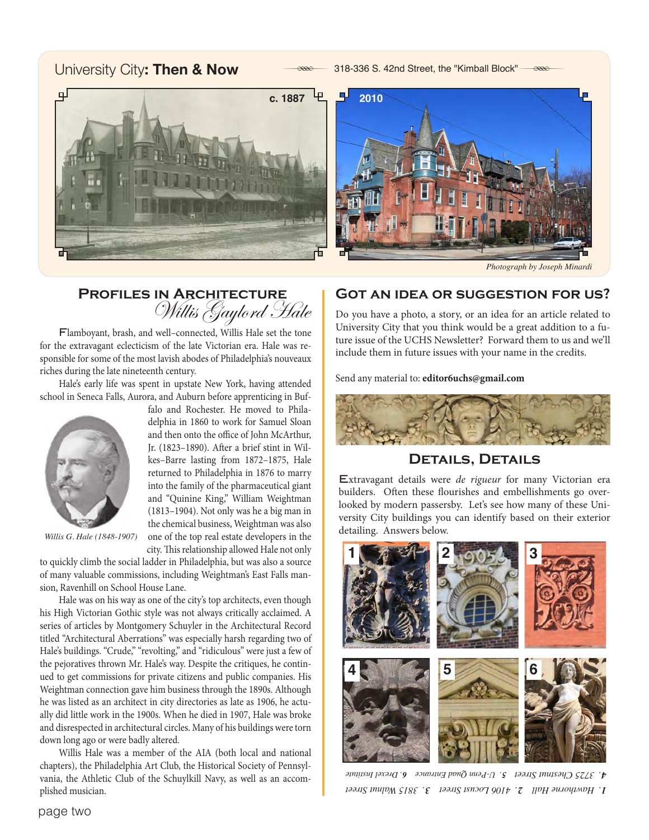### University City: Then & Now **Access Access** 318-336 S. 42nd Street, the "Kimball Block" **Reseter**



*Photograph by Joseph Minardi*

# **Profiles in Architecture** Willis Gaylord Hale

delphia in 1860 to work for Samuel Sloan and then onto the office of John McArthur, Jr. (1823–1890). After a brief stint in Wilkes–Barre lasting from 1872–1875, Hale returned to Philadelphia in 1876 to marry into the family of the pharmaceutical giant and "Quinine King," William Weightman (1813–1904). Not only was he a big man in the chemical business, Weightman was also one of the top real estate developers in the

Flamboyant, brash, and well–connected, Willis Hale set the tone for the extravagant eclecticism of the late Victorian era. Hale was responsible for some of the most lavish abodes of Philadelphia's nouveaux riches during the late nineteenth century.

Hale's early life was spent in upstate New York, having attended school in Seneca Falls, Aurora, and Auburn before apprenticing in Buffalo and Rochester. He moved to Phila-



*Willis G. Hale (1848-1907)*

city. This relationship allowed Hale not only to quickly climb the social ladder in Philadelphia, but was also a source of many valuable commissions, including Weightman's East Falls mansion, Ravenhill on School House Lane.

Hale was on his way as one of the city's top architects, even though his High Victorian Gothic style was not always critically acclaimed. A series of articles by Montgomery Schuyler in the Architectural Record titled "Architectural Aberrations" was especially harsh regarding two of Hale's buildings. "Crude," "revolting," and "ridiculous" were just a few of the pejoratives thrown Mr. Hale's way. Despite the critiques, he continued to get commissions for private citizens and public companies. His Weightman connection gave him business through the 1890s. Although he was listed as an architect in city directories as late as 1906, he actually did little work in the 1900s. When he died in 1907, Hale was broke and disrespected in architectural circles. Many of his buildings were torn down long ago or were badly altered.

Willis Hale was a member of the AIA (both local and national chapters), the Philadelphia Art Club, the Historical Society of Pennsylvania, the Athletic Club of the Schuylkill Navy, as well as an accomplished musician.

#### **Got an idea or suggestion for us?**

Do you have a photo, a story, or an idea for an article related to University City that you think would be a great addition to a future issue of the UCHS Newsletter? Forward them to us and we'll include them in future issues with your name in the credits.

Send any material to: **editor6uchs@gmail.com**



#### **Details, Details**

Extravagant details were *de rigueur* for many Victorian era builders. Often these flourishes and embellishments go overlooked by modern passersby. Let's see how many of these University City buildings you can identify based on their exterior detailing. Answers below.



*. 3815 Walnut Street 3 4106 Locust Street . 2 . Hawthorne Hall 1 . Drexel Institute 6 . U-Penn Quad Entrance 5 . 3725 Chestnut Street 4*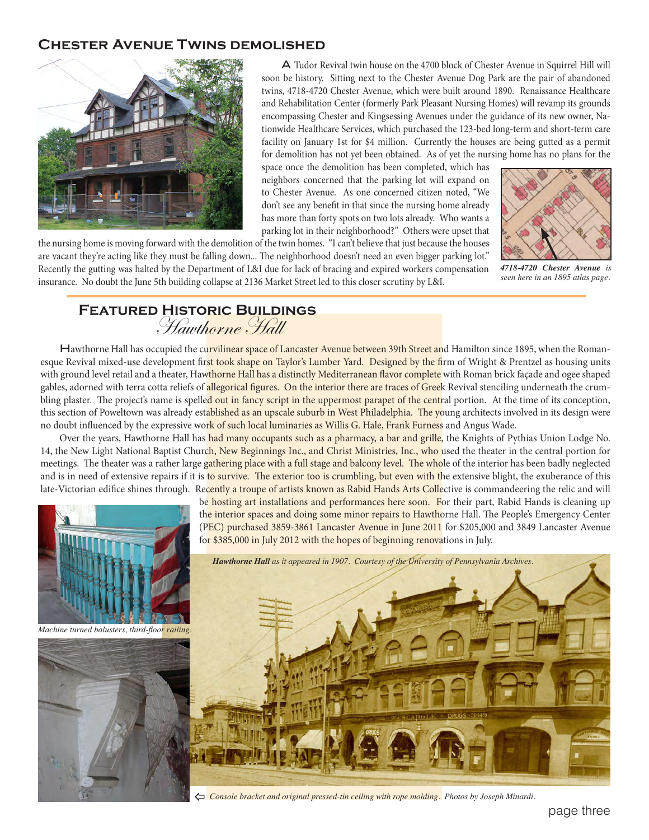#### **Chester Avenue Twins demolished**



 A Tudor Revival twin house on the 4700 block of Chester Avenue in Squirrel Hill will soon be history. Sitting next to the Chester Avenue Dog Park are the pair of abandoned twins, 4718-4720 Chester Avenue, which were built around 1890. Renaissance Healthcare and Rehabilitation Center (formerly Park Pleasant Nursing Homes) will revamp its grounds encompassing Chester and Kingsessing Avenues under the guidance of its new owner, Nationwide Healthcare Services, which purchased the 123-bed long-term and short-term care facility on January 1st for \$4 million. Currently the houses are being gutted as a permit for demolition has not yet been obtained. As of yet the nursing home has no plans for the

space once the demolition has been completed, which has neighbors concerned that the parking lot will expand on to Chester Avenue. As one concerned citizen noted, "We don't see any benefit in that since the nursing home already has more than forty spots on two lots already. Who wants a parking lot in their neighborhood?" Others were upset that

the nursing home is moving forward with the demolition of the twin homes. "I can't believe that just because the houses are vacant they're acting like they must be falling down... The neighborhood doesn't need an even bigger parking lot." Recently the gutting was halted by the Department of L&I due for lack of bracing and expired workers compensation insurance. No doubt the June 5th building collapse at 2136 Market Street led to this closer scrutiny by L&I.



*4718-4720 Chester Avenue is seen here in an 1895 atlas page.*

## **Featured Historic Buildings** Hawthorne Hall

Hawthorne Hall has occupied the curvilinear space of Lancaster Avenue between 39th Street and Hamilton since 1895, when the Romanesque Revival mixed-use development first took shape on Taylor's Lumber Yard. Designed by the firm of Wright & Prentzel as housing units with ground level retail and a theater, Hawthorne Hall has a distinctly Mediterranean flavor complete with Roman brick façade and ogee shaped gables, adorned with terra cotta reliefs of allegorical figures. On the interior there are traces of Greek Revival stenciling underneath the crumbling plaster. The project's name is spelled out in fancy script in the uppermost parapet of the central portion. At the time of its conception, this section of Poweltown was already established as an upscale suburb in West Philadelphia. The young architects involved in its design were no doubt influenced by the expressive work of such local luminaries as Willis G. Hale, Frank Furness and Angus Wade.

Over the years, Hawthorne Hall has had many occupants such as a pharmacy, a bar and grille, the Knights of Pythias Union Lodge No. 14, the New Light National Baptist Church, New Beginnings Inc., and Christ Ministries, Inc., who used the theater in the central portion for meetings. The theater was a rather large gathering place with a full stage and balcony level. The whole of the interior has been badly neglected and is in need of extensive repairs if it is to survive. The exterior too is crumbling, but even with the extensive blight, the exuberance of this late-Victorian edifice shines through. Recently a troupe of artists known as Rabid Hands Arts Collective is commandeering the relic and will



^ *Console bracket and original pressed-tin ceiling with rope molding. Photos by Joseph Minardi.*